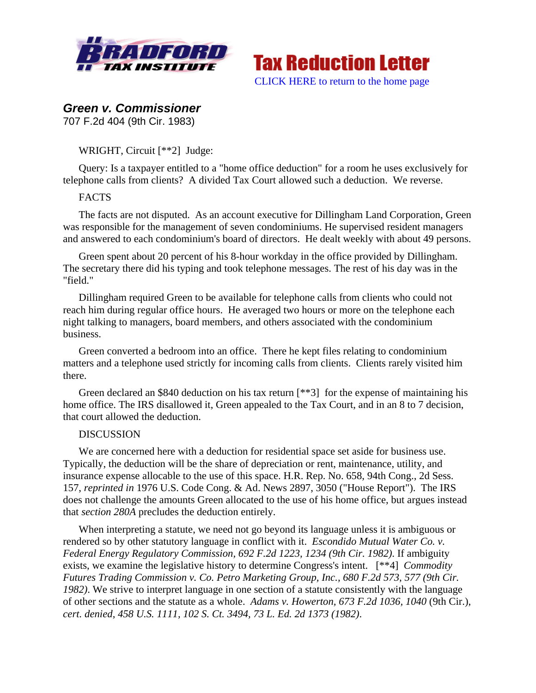



# *Green v. Commissioner*

707 F.2d 404 (9th Cir. 1983)

WRIGHT, Circuit [\*\*2] Judge:

Query: Is a taxpayer entitled to a "home office deduction" for a room he uses exclusively for telephone calls from clients? A divided Tax Court allowed such a deduction. We reverse.

## **FACTS**

The facts are not disputed. As an account executive for Dillingham Land Corporation, Green was responsible for the management of seven condominiums. He supervised resident managers and answered to each condominium's board of directors. He dealt weekly with about 49 persons.

Green spent about 20 percent of his 8-hour workday in the office provided by Dillingham. The secretary there did his typing and took telephone messages. The rest of his day was in the "field."

Dillingham required Green to be available for telephone calls from clients who could not reach him during regular office hours. He averaged two hours or more on the telephone each night talking to managers, board members, and others associated with the condominium business.

Green converted a bedroom into an office. There he kept files relating to condominium matters and a telephone used strictly for incoming calls from clients. Clients rarely visited him there.

Green declared an \$840 deduction on his tax return [\*\*3] for the expense of maintaining his home office. The IRS disallowed it, Green appealed to the Tax Court, and in an 8 to 7 decision, that court allowed the deduction.

### DISCUSSION

We are concerned here with a deduction for residential space set aside for business use. Typically, the deduction will be the share of depreciation or rent, maintenance, utility, and insurance expense allocable to the use of this space. H.R. Rep. No. 658, 94th Cong., 2d Sess. 157, *reprinted in* 1976 U.S. Code Cong. & Ad. News 2897, 3050 ("House Report"). The IRS does not challenge the amounts Green allocated to the use of his home office, but argues instead that *section 280A* precludes the deduction entirely.

When interpreting a statute, we need not go beyond its language unless it is ambiguous or rendered so by other statutory language in conflict with it. *Escondido Mutual Water Co. v. Federal Energy Regulatory Commission, 692 F.2d 1223, 1234 (9th Cir. 1982)*. If ambiguity exists, we examine the legislative history to determine Congress's intent. [\*\*4] *Commodity Futures Trading Commission v. Co. Petro Marketing Group, Inc., 680 F.2d 573, 577 (9th Cir. 1982)*. We strive to interpret language in one section of a statute consistently with the language of other sections and the statute as a whole. *Adams v. Howerton, 673 F.2d 1036, 1040* (9th Cir.), *cert. denied*, *458 U.S. 1111, 102 S. Ct. 3494, 73 L. Ed. 2d 1373 (1982)*.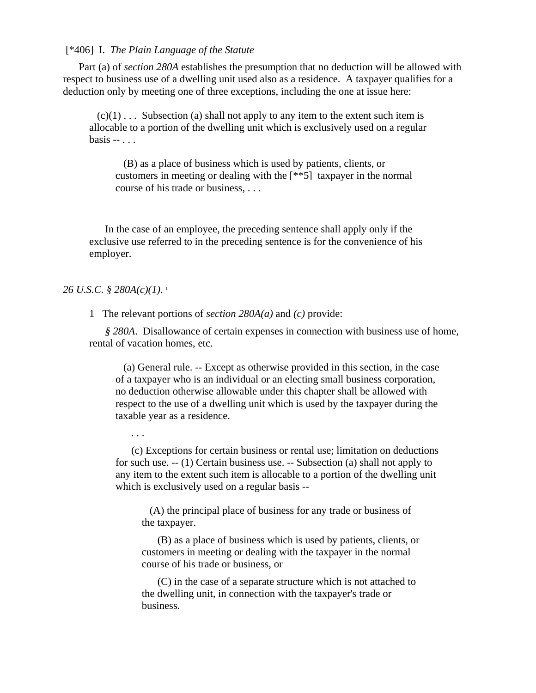[\*406] I. *The Plain Language of the Statute*

Part (a) of *section 280A* establishes the presumption that no deduction will be allowed with respect to business use of a dwelling unit used also as a residence. A taxpayer qualifies for a deduction only by meeting one of three exceptions, including the one at issue here:

 $(c)(1) \ldots$  Subsection (a) shall not apply to any item to the extent such item is allocable to a portion of the dwelling unit which is exclusively used on a regular basis -- . . .

 (B) as a place of business which is used by patients, clients, or customers in meeting or dealing with the [\*\*5] taxpayer in the normal course of his trade or business, . . .

In the case of an employee, the preceding sentence shall apply only if the exclusive use referred to in the preceding sentence is for the convenience of his employer.

#### *26 U.S.C. § 280A(c)(1)*. 1

. . .

1 The relevant portions of *section 280A(a)* and *(c)* provide:

*§ 280A*. Disallowance of certain expenses in connection with business use of home, rental of vacation homes, etc.

 (a) General rule. -- Except as otherwise provided in this section, in the case of a taxpayer who is an individual or an electing small business corporation, no deduction otherwise allowable under this chapter shall be allowed with respect to the use of a dwelling unit which is used by the taxpayer during the taxable year as a residence.

(c) Exceptions for certain business or rental use; limitation on deductions for such use. -- (1) Certain business use. -- Subsection (a) shall not apply to any item to the extent such item is allocable to a portion of the dwelling unit which is exclusively used on a regular basis --

 (A) the principal place of business for any trade or business of the taxpayer.

(B) as a place of business which is used by patients, clients, or customers in meeting or dealing with the taxpayer in the normal course of his trade or business, or

(C) in the case of a separate structure which is not attached to the dwelling unit, in connection with the taxpayer's trade or business.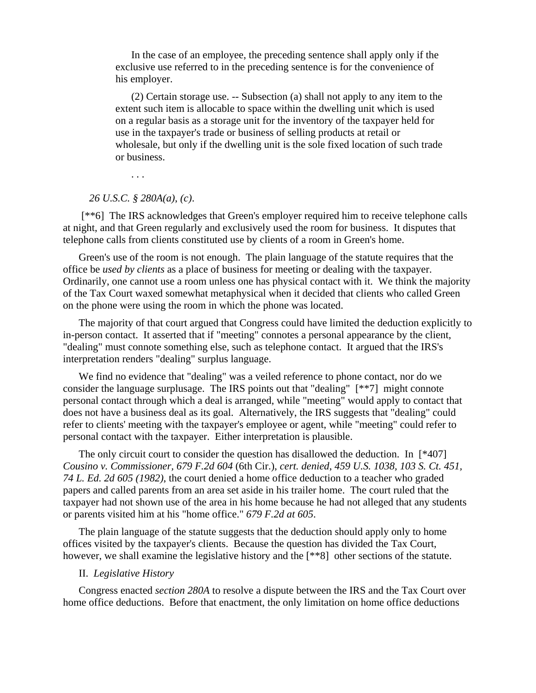In the case of an employee, the preceding sentence shall apply only if the exclusive use referred to in the preceding sentence is for the convenience of his employer.

(2) Certain storage use. -- Subsection (a) shall not apply to any item to the extent such item is allocable to space within the dwelling unit which is used on a regular basis as a storage unit for the inventory of the taxpayer held for use in the taxpayer's trade or business of selling products at retail or wholesale, but only if the dwelling unit is the sole fixed location of such trade or business.

. . .

#### *26 U.S.C. § 280A(a)*, *(c)*.

[\*\*6] The IRS acknowledges that Green's employer required him to receive telephone calls at night, and that Green regularly and exclusively used the room for business. It disputes that telephone calls from clients constituted use by clients of a room in Green's home.

Green's use of the room is not enough. The plain language of the statute requires that the office be *used by clients* as a place of business for meeting or dealing with the taxpayer. Ordinarily, one cannot use a room unless one has physical contact with it. We think the majority of the Tax Court waxed somewhat metaphysical when it decided that clients who called Green on the phone were using the room in which the phone was located.

The majority of that court argued that Congress could have limited the deduction explicitly to in-person contact. It asserted that if "meeting" connotes a personal appearance by the client, "dealing" must connote something else, such as telephone contact. It argued that the IRS's interpretation renders "dealing" surplus language.

We find no evidence that "dealing" was a veiled reference to phone contact, nor do we consider the language surplusage. The IRS points out that "dealing" [\*\*7] might connote personal contact through which a deal is arranged, while "meeting" would apply to contact that does not have a business deal as its goal. Alternatively, the IRS suggests that "dealing" could refer to clients' meeting with the taxpayer's employee or agent, while "meeting" could refer to personal contact with the taxpayer. Either interpretation is plausible.

The only circuit court to consider the question has disallowed the deduction. In [\*407] *Cousino v. Commissioner, 679 F.2d 604* (6th Cir.), *cert. denied*, *459 U.S. 1038, 103 S. Ct. 451, 74 L. Ed. 2d 605 (1982)*, the court denied a home office deduction to a teacher who graded papers and called parents from an area set aside in his trailer home. The court ruled that the taxpayer had not shown use of the area in his home because he had not alleged that any students or parents visited him at his "home office." *679 F.2d at 605*.

The plain language of the statute suggests that the deduction should apply only to home offices visited by the taxpayer's clients. Because the question has divided the Tax Court, however, we shall examine the legislative history and the [\*\*8] other sections of the statute.

#### II. *Legislative History*

Congress enacted *section 280A* to resolve a dispute between the IRS and the Tax Court over home office deductions. Before that enactment, the only limitation on home office deductions